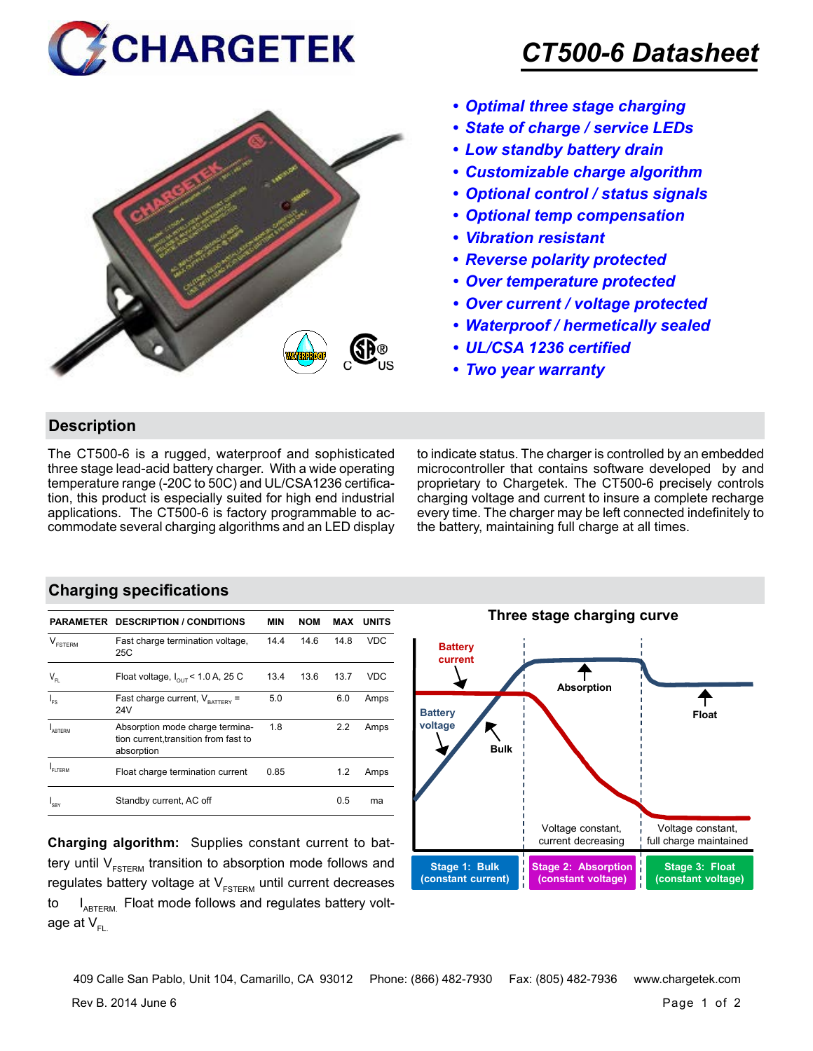



## *CT500-6 Datasheet*

- *• Optimal three stage charging*
- *• State of charge / service LEDs*
- *• Low standby battery drain*
- *• Customizable charge algorithm*
- *• Optional control / status signals*
- *• Optional temp compensation*
- *• Vibration resistant*
- *• Reverse polarity protected*
- *• Over temperature protected*
- *• Over current / voltage protected*
- *• Waterproof / hermetically sealed*
- *• UL/CSA 1236 certified*
- *• Two year warranty*

## **Description**

The CT500-6 is a rugged, waterproof and sophisticated three stage lead-acid battery charger. With a wide operating temperature range (-20C to 50C) and UL/CSA1236 certification, this product is especially suited for high end industrial applications. The CT500-6 is factory programmable to accommodate several charging algorithms and an LED display to indicate status. The charger is controlled by an embedded microcontroller that contains software developed by and proprietary to Chargetek. The CT500-6 precisely controls charging voltage and current to insure a complete recharge every time. The charger may be left connected indefinitely to the battery, maintaining full charge at all times.

## **Charging specifications**

|                                                | <b>PARAMETER DESCRIPTION / CONDITIONS</b>                                              | MIN  | <b>NOM</b> | MAX  | <b>UNITS</b> |
|------------------------------------------------|----------------------------------------------------------------------------------------|------|------------|------|--------------|
| V<br><b>FSTFRM</b>                             | Fast charge termination voltage,<br>25C                                                | 14.4 | 14.6       | 14.8 | <b>VDC</b>   |
| $\mathsf{V}_{\scriptscriptstyle{\mathsf{FL}}}$ | Float voltage, $I_{\text{out}}$ < 1.0 A, 25 C                                          | 13.4 | 13.6       | 13.7 | VDC          |
| $I_{FS}$                                       | Fast charge current, $V_{\text{BATTARY}}$ =<br>24V                                     | 5.0  |            | 6.0  | Amps         |
| ARTFRM                                         | Absorption mode charge termina-<br>tion current, transition from fast to<br>absorption | 1.8  |            | 2.2  | Amps         |
| FI TERM                                        | Float charge termination current                                                       | 0.85 |            | 1.2  | Amps         |
| I <sub>SBY</sub>                               | Standby current, AC off                                                                |      |            | 0.5  | ma           |

**Charging algorithm:** Supplies constant current to battery until  $V_{ESTERM}$  transition to absorption mode follows and regulates battery voltage at  $V_{ESTFRM}$  until current decreases to  $I_{ABTERM}$ . Float mode follows and regulates battery voltage at  $V_{\text{F}}$ 



Rev B. 2014 June 6 **Page 1** of 2 409 Calle San Pablo, Unit 104, Camarillo, CA 93012 Phone: (866) 482-7930 Fax: (805) 482-7936 www.chargetek.com